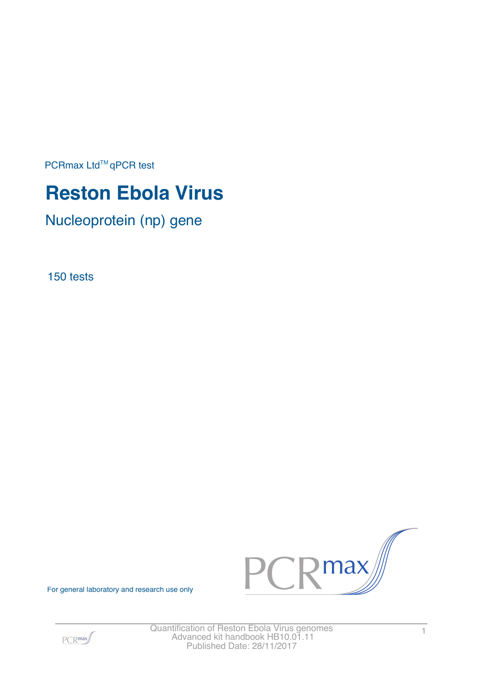PCRmax Ltd™qPCR test

# **Reston Ebola Virus**

Nucleoprotein (np) gene

150 tests



For general laboratory and research use only

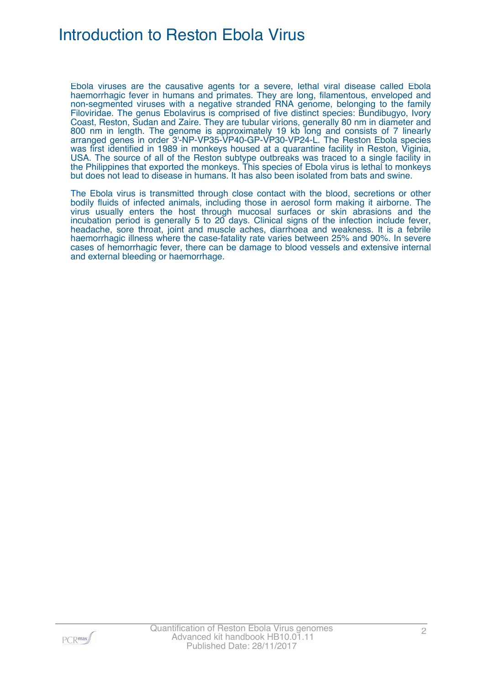# Introduction to Reston Ebola Virus

Ebola viruses are the causative agents for a severe, lethal viral disease called Ebola haemorrhagic fever in humans and primates. They are long, filamentous, enveloped and non-segmented viruses with a negative stranded RNA genome, belonging to the family Filoviridae. The genus Ebolavirus is comprised of five distinct species: Bundibugyo, Ivory Coast, Reston, Sudan and Zaire. They are tubular virions, generally 80 nm in diameter and 800 nm in length. The genome is approximately 19 kb long and consists of 7 linearly arranged genes in order 3'-NP-VP35-VP40-GP-VP30-VP24-L. The Reston Ebola species was first identified in 1989 in monkeys housed at a quarantine facility in Reston, Viginia, USA. The source of all of the Reston subtype outbreaks was traced to a single facility in the Philippines that exported the monkeys. This species of Ebola virus is lethal to monkeys but does not lead to disease in humans. It has also been isolated from bats and swine.

The Ebola virus is transmitted through close contact with the blood, secretions or other bodily fluids of infected animals, including those in aerosol form making it airborne. The virus usually enters the host through mucosal surfaces or skin abrasions and the incubation period is generally 5 to 20 days. Clinical signs of the infection include fever, headache, sore throat, joint and muscle aches, diarrhoea and weakness. It is a febrile haemorrhagic illness where the case-fatality rate varies between 25% and 90%. In severe cases of hemorrhagic fever, there can be damage to blood vessels and extensive internal and external bleeding or haemorrhage.

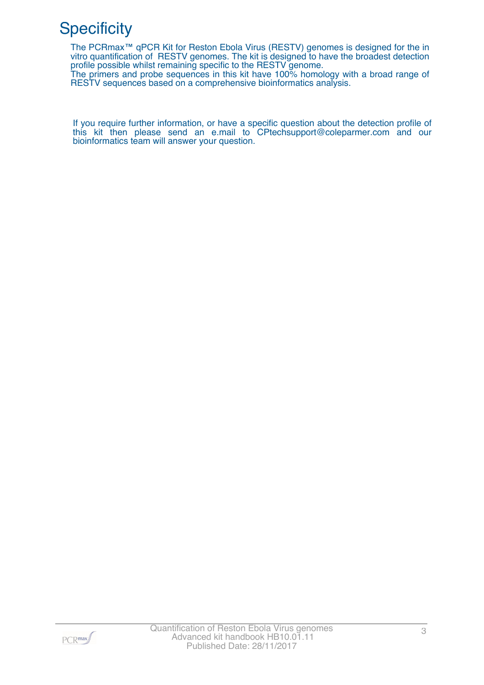# **Specificity**

The PCRmax™ qPCR Kit for Reston Ebola Virus (RESTV) genomes is designed for the in vitro quantification of RESTV genomes. The kit is designed to have the broadest detection profile possible whilst remaining specific to the RESTV genome.

The primers and probe sequences in this kit have 100% homology with a broad range of RESTV sequences based on a comprehensive bioinformatics analysis.

If you require further information, or have a specific question about the detection profile of this kit then please send an e.mail to CPtechsupport@coleparmer.com and our bioinformatics team will answer your question.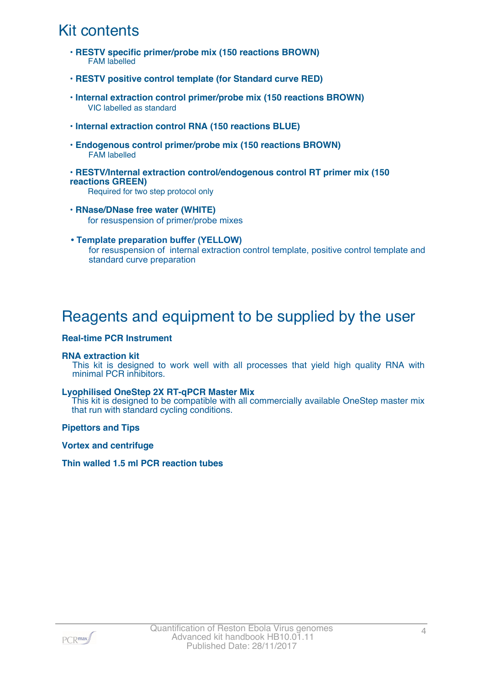# Kit contents

- **RESTV specific primer/probe mix (150 reactions BROWN)** FAM labelled
- **RESTV positive control template (for Standard curve RED)**
- **Internal extraction control primer/probe mix (150 reactions BROWN)** VIC labelled as standard
- **Internal extraction control RNA (150 reactions BLUE)**
- **Endogenous control primer/probe mix (150 reactions BROWN)** FAM labelled
- **RESTV/Internal extraction control/endogenous control RT primer mix (150 reactions GREEN)**

Required for two step protocol only

- **RNase/DNase free water (WHITE)** for resuspension of primer/probe mixes
- **Template preparation buffer (YELLOW)** for resuspension of internal extraction control template, positive control template and standard curve preparation

### Reagents and equipment to be supplied by the user

#### **Real-time PCR Instrument**

#### **RNA extraction kit**

This kit is designed to work well with all processes that yield high quality RNA with minimal PCR inhibitors.

#### **Lyophilised OneStep 2X RT-qPCR Master Mix**

This kit is designed to be compatible with all commercially available OneStep master mix that run with standard cycling conditions.

**Pipettors and Tips**

**Vortex and centrifuge**

**Thin walled 1.5 ml PCR reaction tubes**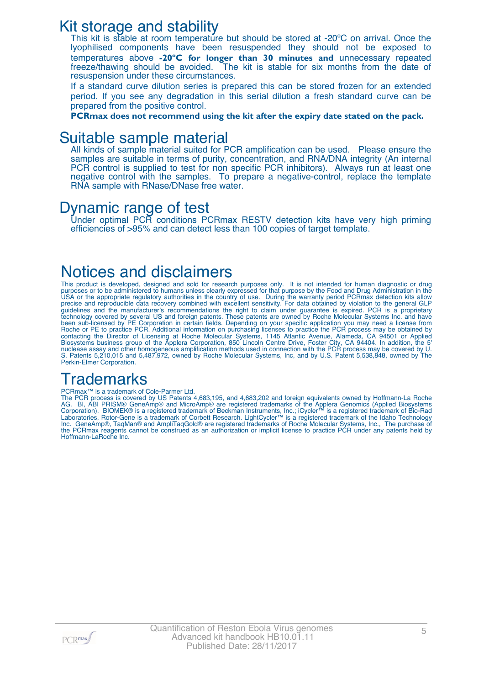### Kit storage and stability

This kit is stable at room temperature but should be stored at -20°C on arrival. Once the lyophilised components have been resuspended they should not be exposed to temperatures above **-20ºC for longer than 30 minutes and** unnecessary repeated freeze/thawing should be avoided. The kit is stable for six months from the date of resuspension under these circumstances.

If a standard curve dilution series is prepared this can be stored frozen for an extended period. If you see any degradation in this serial dilution a fresh standard curve can be prepared from the positive control.

**PCRmax does not recommend using the kit after the expiry date stated on the pack.**

### Suitable sample material

All kinds of sample material suited for PCR amplification can be used. Please ensure the samples are suitable in terms of purity, concentration, and RNA/DNA integrity (An internal PCR control is supplied to test for non specific PCR inhibitors). Always run at least one negative control with the samples. To prepare a negative-control, replace the template RNA sample with RNase/DNase free water.

### Dynamic range of test

Under optimal PCR conditions PCRmax RESTV detection kits have very high priming efficiencies of >95% and can detect less than 100 copies of target template.

# Notices and disclaimers

This product is developed, designed and sold for research purposes only. It is not intended for human diagnostic or drug purposes or to be administered to humans unless clearly expressed for that purpose by the Food and Drug Administration in the USA or the appropriate regulatory authorities in the country of use. During the warranty period PCRmax detection kits allow precise and reproducible data recovery combined with excellent sensitivity. For data obtained by violation to the general GLP guidelines and the manufacturer's recommendations the right to claim under guarantee is expired. PCR is a proprietary technology covered by several US and foreign patents. These patents are owned by Roche Molecular Systems Inc. and have been sub-licensed by PE Corporation in certain fields. Depending on your specific application you may need a license from Roche or PE to practice PCR. Additional information on purchasing licenses to practice the PCR process may be obtained by contacting the Director of Licensing at Roche Molecular Systems, 1145 Atlantic Avenue, Alameda, CA 94501 or Applied Biosystems business group of the Applera Corporation, 850 Lincoln Centre Drive, Foster City, CA 94404. In addition, the 5' nuclease assay and other homogeneous amplification methods used in connection with the PCR process may be covered by U. S. Patents 5,210,015 and 5,487,972, owned by Roche Molecular Systems, Inc, and by U.S. Patent 5,538,848, owned by The Perkin-Elmer Corporation.

# **Trademarks**

#### PCRmax<sup>™</sup> is a trademark of Cole-Parmer Ltd.

The PCR process is covered by US Patents 4,683,195, and 4,683,202 and foreign equivalents owned by Hoffmann-La Roche AG. BI, ABI PRISM® GeneAmp® and MicroAmp® are registered trademarks of the Applera Genomics (Applied Biosystems Corporation). BIOMEK® is a registered trademark of Beckman Instruments, Inc.; iCycler™ is a registered trademark of Bio-Rad Laboratories, Rotor-Gene is a trademark of Corbett Research. LightCycler™ is a registered trademark of the Idaho Technology Inc. GeneAmp®, TaqMan® and AmpliTaqGold® are registered trademarks of Roche Molecular Systems, Inc., The purchase of the PCRmax reagents cannot be construed as an authorization or implicit license to practice PCR under any patents held by Hoffmann-LaRoche Inc.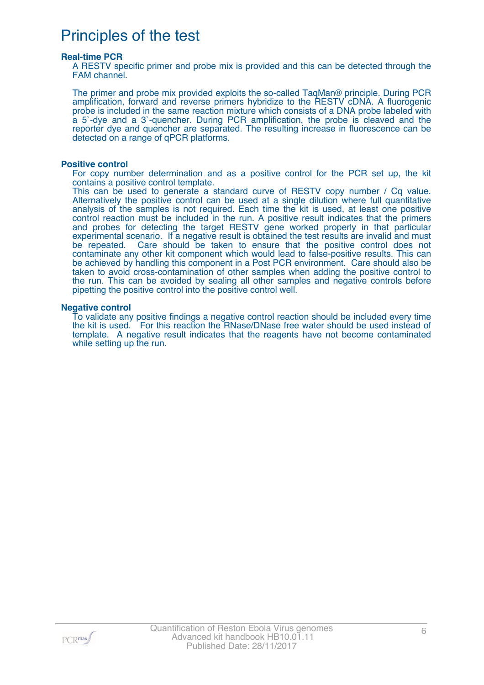# Principles of the test

#### **Real-time PCR**

A RESTV specific primer and probe mix is provided and this can be detected through the FAM channel.

The primer and probe mix provided exploits the so-called TaqMan® principle. During PCR amplification, forward and reverse primers hybridize to the RESTV cDNA. A fluorogenic probe is included in the same reaction mixture which consists of a DNA probe labeled with a 5`-dye and a 3`-quencher. During PCR amplification, the probe is cleaved and the reporter dye and quencher are separated. The resulting increase in fluorescence can be detected on a range of qPCR platforms.

#### **Positive control**

For copy number determination and as a positive control for the PCR set up, the kit contains a positive control template.

This can be used to generate a standard curve of RESTV copy number / Cq value. Alternatively the positive control can be used at a single dilution where full quantitative analysis of the samples is not required. Each time the kit is used, at least one positive control reaction must be included in the run. A positive result indicates that the primers and probes for detecting the target RESTV gene worked properly in that particular experimental scenario. If a negative result is obtained the test results are invalid and must be repeated. Care should be taken to ensure that the positive control does not contaminate any other kit component which would lead to false-positive results. This can be achieved by handling this component in a Post PCR environment. Care should also be taken to avoid cross-contamination of other samples when adding the positive control to the run. This can be avoided by sealing all other samples and negative controls before pipetting the positive control into the positive control well.

#### **Negative control**

To validate any positive findings a negative control reaction should be included every time the kit is used. For this reaction the RNase/DNase free water should be used instead of template. A negative result indicates that the reagents have not become contaminated while setting up the run.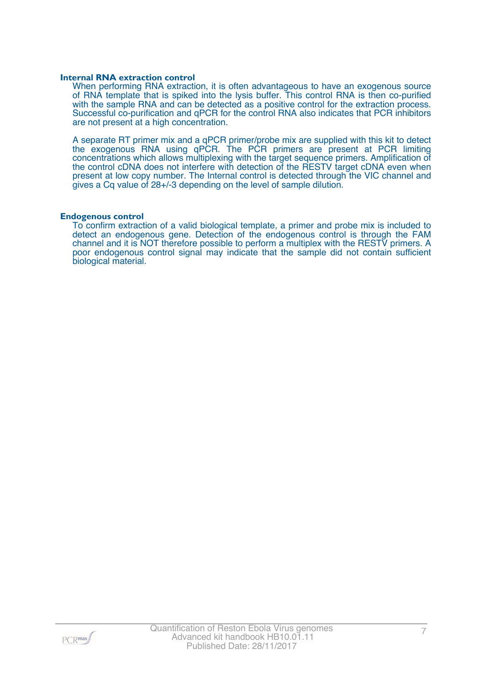#### **Internal RNA extraction control**

When performing RNA extraction, it is often advantageous to have an exogenous source of RNA template that is spiked into the lysis buffer. This control RNA is then co-purified with the sample RNA and can be detected as a positive control for the extraction process. Successful co-purification and qPCR for the control RNA also indicates that PCR inhibitors are not present at a high concentration.

A separate RT primer mix and a qPCR primer/probe mix are supplied with this kit to detect the exogenous RNA using qPCR. The PCR primers are present at PCR limiting concentrations which allows multiplexing with the target sequence primers. Amplification of the control cDNA does not interfere with detection of the RESTV target cDNA even when present at low copy number. The Internal control is detected through the VIC channel and gives a Cq value of 28+/-3 depending on the level of sample dilution.

#### **Endogenous control**

To confirm extraction of a valid biological template, a primer and probe mix is included to detect an endogenous gene. Detection of the endogenous control is through the FAM channel and it is NOT therefore possible to perform a multiplex with the RESTV primers. A poor endogenous control signal may indicate that the sample did not contain sufficient biological material.

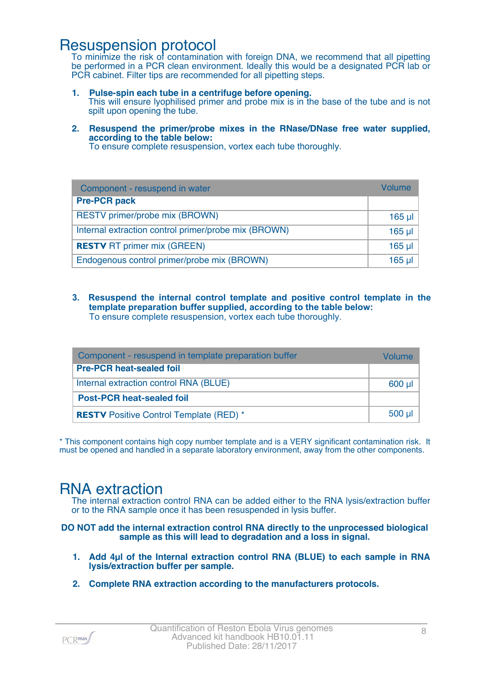### Resuspension protocol

To minimize the risk of contamination with foreign DNA, we recommend that all pipetting be performed in a PCR clean environment. Ideally this would be a designated PCR lab or PCR cabinet. Filter tips are recommended for all pipetting steps.

- **1. Pulse-spin each tube in a centrifuge before opening.** This will ensure lyophilised primer and probe mix is in the base of the tube and is not spilt upon opening the tube.
- **2. Resuspend the primer/probe mixes in the RNase/DNase free water supplied, according to the table below:**

To ensure complete resuspension, vortex each tube thoroughly.

| Component - resuspend in water                       | <b>Volume</b>   |
|------------------------------------------------------|-----------------|
| <b>Pre-PCR pack</b>                                  |                 |
| RESTV primer/probe mix (BROWN)                       | $165$ µ $\vert$ |
| Internal extraction control primer/probe mix (BROWN) | $165$ µl        |
| <b>RESTV RT primer mix (GREEN)</b>                   | $165$ µl        |
| Endogenous control primer/probe mix (BROWN)          | $165$ µl        |

**3. Resuspend the internal control template and positive control template in the template preparation buffer supplied, according to the table below:** To ensure complete resuspension, vortex each tube thoroughly.

| Component - resuspend in template preparation buffer |         |  |
|------------------------------------------------------|---------|--|
| <b>Pre-PCR heat-sealed foil</b>                      |         |  |
| Internal extraction control RNA (BLUE)               | $600$ µ |  |
| <b>Post-PCR heat-sealed foil</b>                     |         |  |
| <b>RESTV</b> Positive Control Template (RED) *       |         |  |

\* This component contains high copy number template and is a VERY significant contamination risk. It must be opened and handled in a separate laboratory environment, away from the other components.

### RNA extraction

The internal extraction control RNA can be added either to the RNA lysis/extraction buffer or to the RNA sample once it has been resuspended in lysis buffer.

**DO NOT add the internal extraction control RNA directly to the unprocessed biological sample as this will lead to degradation and a loss in signal.**

- **1. Add 4µl of the Internal extraction control RNA (BLUE) to each sample in RNA lysis/extraction buffer per sample.**
- **2. Complete RNA extraction according to the manufacturers protocols.**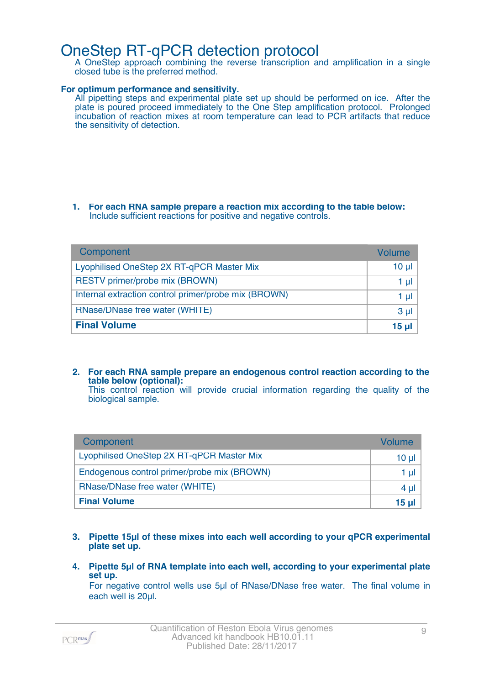### OneStep RT-qPCR detection protocol

A OneStep approach combining the reverse transcription and amplification in a single closed tube is the preferred method.

#### **For optimum performance and sensitivity.**

All pipetting steps and experimental plate set up should be performed on ice. After the plate is poured proceed immediately to the One Step amplification protocol. Prolonged incubation of reaction mixes at room temperature can lead to PCR artifacts that reduce the sensitivity of detection.

#### **1. For each RNA sample prepare a reaction mix according to the table below:** Include sufficient reactions for positive and negative controls.

| Component                                            | Volume         |
|------------------------------------------------------|----------------|
| Lyophilised OneStep 2X RT-qPCR Master Mix            | $10 \mu$       |
| RESTV primer/probe mix (BROWN)                       | 1 ul           |
| Internal extraction control primer/probe mix (BROWN) | 1 ul           |
| RNase/DNase free water (WHITE)                       | 3 <sub>µ</sub> |
| <b>Final Volume</b>                                  | 15 µl          |

**2. For each RNA sample prepare an endogenous control reaction according to the table below (optional):** This control reaction will provide crucial information regarding the quality of the

biological sample.

| Component                                   | Volume   |
|---------------------------------------------|----------|
| Lyophilised OneStep 2X RT-qPCR Master Mix   | $10 \mu$ |
| Endogenous control primer/probe mix (BROWN) | 1 µI     |
| RNase/DNase free water (WHITE)              | 4 µl     |
| <b>Final Volume</b>                         | 15 ul    |

- **3. Pipette 15µl of these mixes into each well according to your qPCR experimental plate set up.**
- **4. Pipette 5µl of RNA template into each well, according to your experimental plate set up.**

For negative control wells use 5µl of RNase/DNase free water. The final volume in each well is 20µl.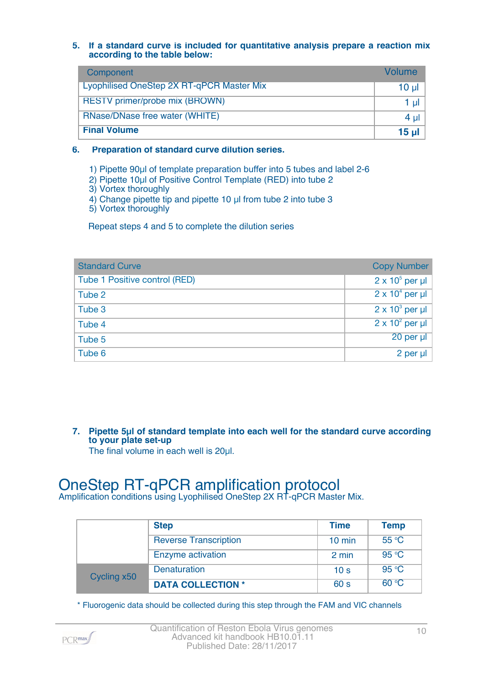#### **5. If a standard curve is included for quantitative analysis prepare a reaction mix according to the table below:**

| Component                                        | Volume    |
|--------------------------------------------------|-----------|
| <b>Lyophilised OneStep 2X RT-qPCR Master Mix</b> | $10 \mu$  |
| <b>RESTV</b> primer/probe mix (BROWN)            | $1$ µ $ $ |
| RNase/DNase free water (WHITE)                   | $4 \mu$   |
| <b>Final Volume</b>                              | $15$ µl   |

#### **6. Preparation of standard curve dilution series.**

1) Pipette 90µl of template preparation buffer into 5 tubes and label 2-6

- 2) Pipette 10µl of Positive Control Template (RED) into tube 2
- 3) Vortex thoroughly
- 4) Change pipette tip and pipette 10 µl from tube 2 into tube 3

5) Vortex thoroughly

Repeat steps 4 and 5 to complete the dilution series

| <b>Standard Curve</b>         | <b>Copy Number</b>     |
|-------------------------------|------------------------|
| Tube 1 Positive control (RED) | $2 \times 10^5$ per µl |
| Tube 2                        | $2 \times 10^4$ per µl |
| Tube 3                        | $2 \times 10^3$ per µl |
| Tube 4                        | $2 \times 10^2$ per µl |
| Tube 5                        | $20$ per $\mu$         |
| Tube 6                        | 2 per $\mu$            |

**7. Pipette 5µl of standard template into each well for the standard curve according to your plate set-up** The final volume in each well is 20µl.

# OneStep RT-qPCR amplification protocol

Amplification conditions using Lyophilised OneStep 2X RT-qPCR Master Mix.

|             | <b>Step</b>                  | <b>Time</b>      | <b>Temp</b> |
|-------------|------------------------------|------------------|-------------|
|             | <b>Reverse Transcription</b> | $10 \text{ min}$ | 55 °C       |
|             | Enzyme activation            | 2 min            | 95 °C       |
| Cycling x50 | <b>Denaturation</b>          | 10 <sub>s</sub>  | 95 °C       |
|             | <b>DATA COLLECTION *</b>     | 60 s             | 60 °C       |

\* Fluorogenic data should be collected during this step through the FAM and VIC channels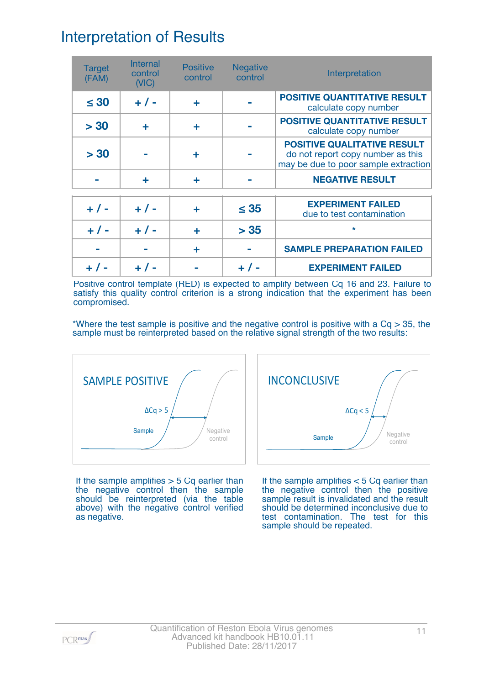# Interpretation of Results

| <b>Target</b><br>(FAM) | Internal<br>control<br>(NIC) | <b>Positive</b><br>control | <b>Negative</b><br>control | Interpretation                                                                                                  |
|------------------------|------------------------------|----------------------------|----------------------------|-----------------------------------------------------------------------------------------------------------------|
| $\leq 30$              | $+ 1 -$                      | ÷                          |                            | <b>POSITIVE QUANTITATIVE RESULT</b><br>calculate copy number                                                    |
| > 30                   | ÷                            | ÷                          |                            | <b>POSITIVE QUANTITATIVE RESULT</b><br>calculate copy number                                                    |
| > 30                   |                              | ÷                          |                            | <b>POSITIVE QUALITATIVE RESULT</b><br>do not report copy number as this<br>may be due to poor sample extraction |
|                        | ÷                            | ÷                          |                            | <b>NEGATIVE RESULT</b>                                                                                          |
| $+ 1 -$                | $+ 1 -$                      |                            | $\leq$ 35                  | <b>EXPERIMENT FAILED</b><br>due to test contamination                                                           |
| $+ 1 -$                | $+$ / -                      | ÷                          | > 35                       | $\star$                                                                                                         |
|                        |                              | ÷                          |                            | <b>SAMPLE PREPARATION FAILED</b>                                                                                |
|                        |                              |                            |                            | <b>EXPERIMENT FAILED</b>                                                                                        |

Positive control template (RED) is expected to amplify between Cq 16 and 23. Failure to satisfy this quality control criterion is a strong indication that the experiment has been compromised.

\*Where the test sample is positive and the negative control is positive with a  $Cq > 35$ , the sample must be reinterpreted based on the relative signal strength of the two results:



If the sample amplifies  $>$  5 Cq earlier than the negative control then the sample should be reinterpreted (via the table above) with the negative control verified as negative.



If the sample amplifies < 5 Cq earlier than the negative control then the positive sample result is invalidated and the result should be determined inconclusive due to test contamination. The test for this sample should be repeated.